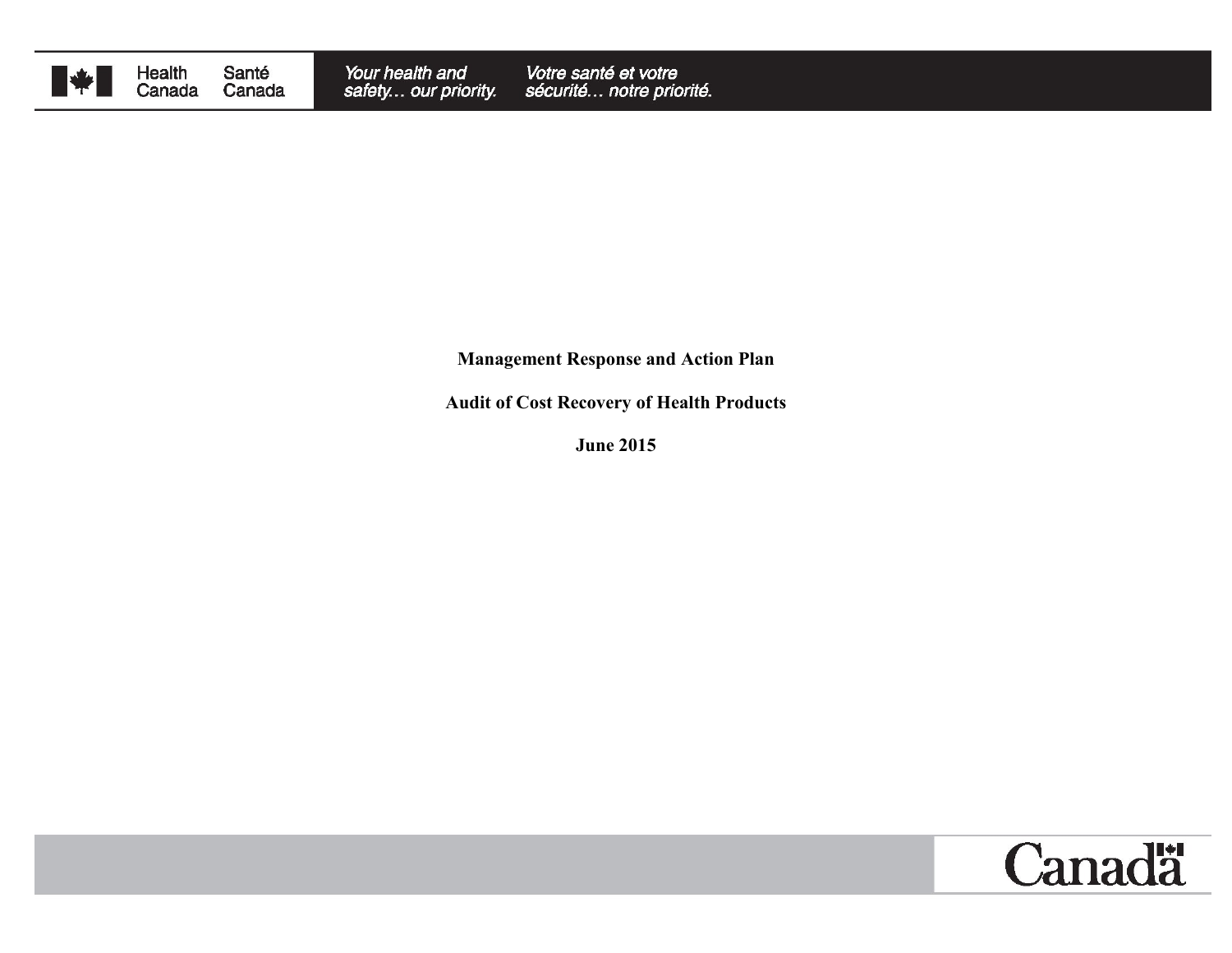

**Management Response and Action Plan**

**Audit of Cost Recovery of Health Products**

**June 2015**

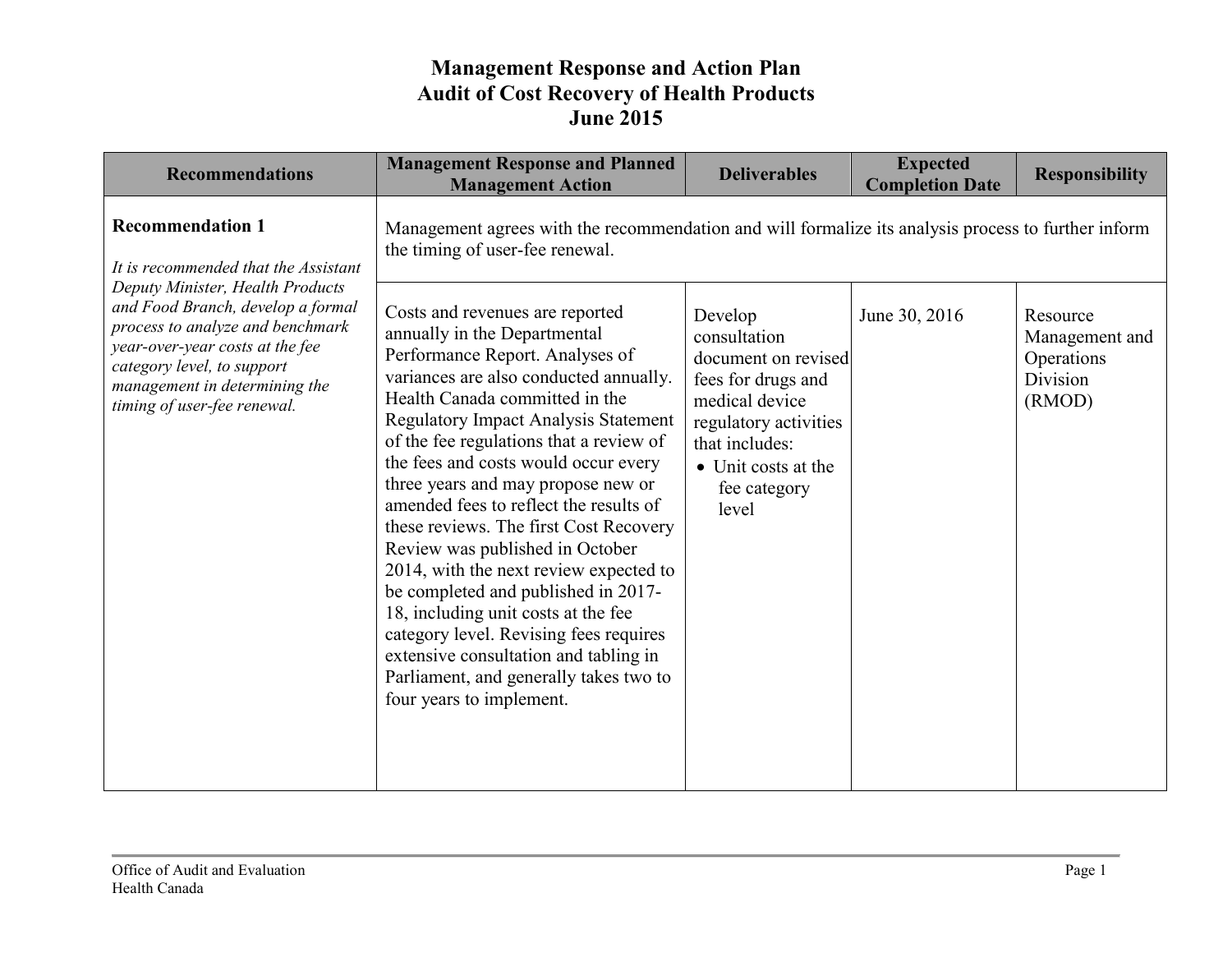| <b>Recommendations</b>                                                                                                                                                                                 | <b>Management Response and Planned</b><br><b>Management Action</b>                                                                                                                                                                                                                                                                                                                                                                                                                                                                                                                                                                                                                                                                                      | <b>Deliverables</b>                                                                                                                                                               | <b>Expected</b><br><b>Completion Date</b> | <b>Responsibility</b>                                          |
|--------------------------------------------------------------------------------------------------------------------------------------------------------------------------------------------------------|---------------------------------------------------------------------------------------------------------------------------------------------------------------------------------------------------------------------------------------------------------------------------------------------------------------------------------------------------------------------------------------------------------------------------------------------------------------------------------------------------------------------------------------------------------------------------------------------------------------------------------------------------------------------------------------------------------------------------------------------------------|-----------------------------------------------------------------------------------------------------------------------------------------------------------------------------------|-------------------------------------------|----------------------------------------------------------------|
| <b>Recommendation 1</b><br>It is recommended that the Assistant<br>Deputy Minister, Health Products                                                                                                    | Management agrees with the recommendation and will formalize its analysis process to further inform<br>the timing of user-fee renewal.                                                                                                                                                                                                                                                                                                                                                                                                                                                                                                                                                                                                                  |                                                                                                                                                                                   |                                           |                                                                |
| and Food Branch, develop a formal<br>process to analyze and benchmark<br>year-over-year costs at the fee<br>category level, to support<br>management in determining the<br>timing of user-fee renewal. | Costs and revenues are reported<br>annually in the Departmental<br>Performance Report. Analyses of<br>variances are also conducted annually.<br>Health Canada committed in the<br>Regulatory Impact Analysis Statement<br>of the fee regulations that a review of<br>the fees and costs would occur every<br>three years and may propose new or<br>amended fees to reflect the results of<br>these reviews. The first Cost Recovery<br>Review was published in October<br>2014, with the next review expected to<br>be completed and published in 2017-<br>18, including unit costs at the fee<br>category level. Revising fees requires<br>extensive consultation and tabling in<br>Parliament, and generally takes two to<br>four years to implement. | Develop<br>consultation<br>document on revised<br>fees for drugs and<br>medical device<br>regulatory activities<br>that includes:<br>• Unit costs at the<br>fee category<br>level | June 30, 2016                             | Resource<br>Management and<br>Operations<br>Division<br>(RMOD) |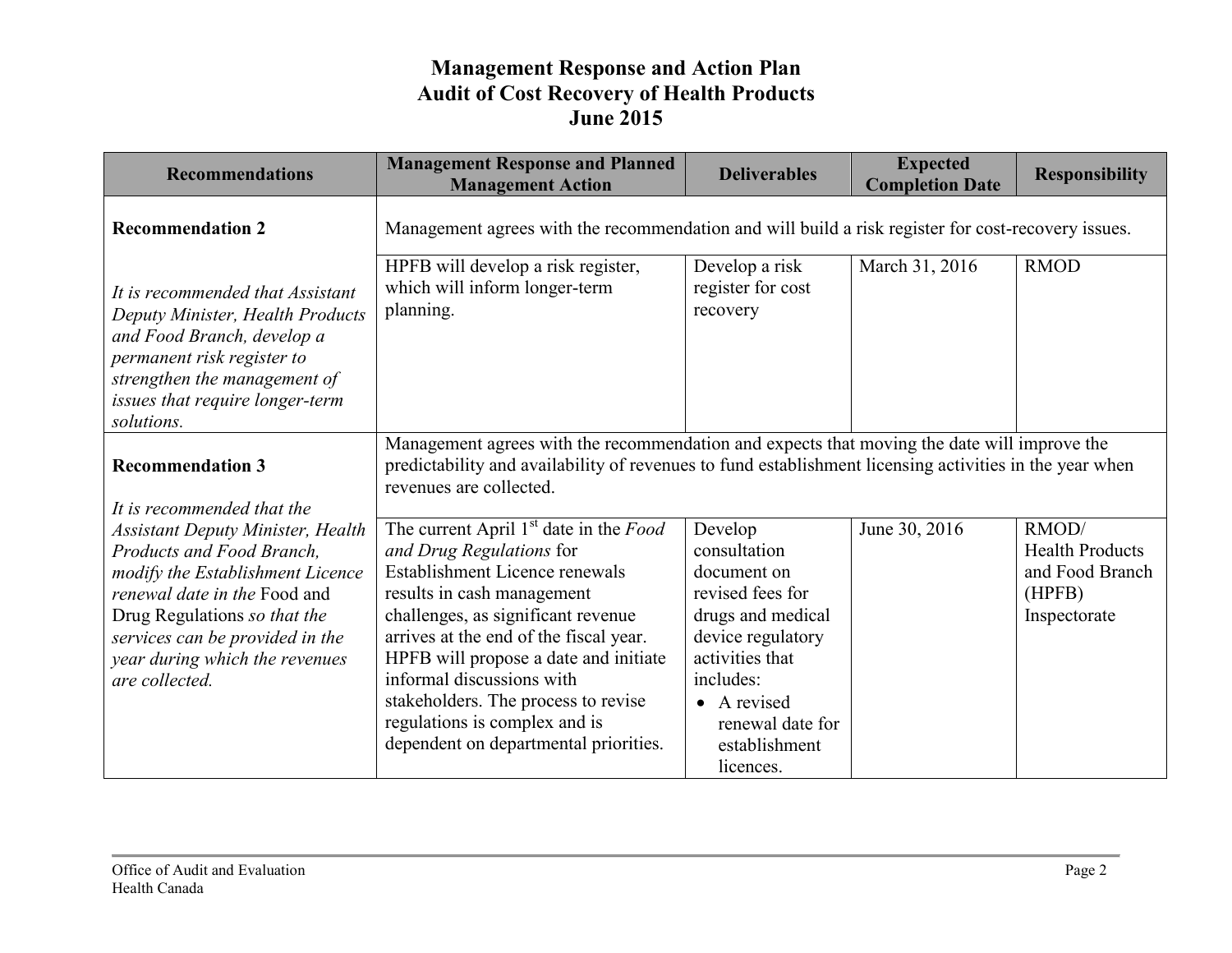| <b>Recommendations</b>                                                                                                                                                                                                                                           | <b>Management Response and Planned</b><br><b>Management Action</b>                                                                                                                                                                                                                                                                                                                                                           | <b>Deliverables</b>                                                                                                                                                                                   | <b>Expected</b><br><b>Completion Date</b> | <b>Responsibility</b>                                                        |
|------------------------------------------------------------------------------------------------------------------------------------------------------------------------------------------------------------------------------------------------------------------|------------------------------------------------------------------------------------------------------------------------------------------------------------------------------------------------------------------------------------------------------------------------------------------------------------------------------------------------------------------------------------------------------------------------------|-------------------------------------------------------------------------------------------------------------------------------------------------------------------------------------------------------|-------------------------------------------|------------------------------------------------------------------------------|
| <b>Recommendation 2</b>                                                                                                                                                                                                                                          | Management agrees with the recommendation and will build a risk register for cost-recovery issues.                                                                                                                                                                                                                                                                                                                           |                                                                                                                                                                                                       |                                           |                                                                              |
| It is recommended that Assistant<br>Deputy Minister, Health Products<br>and Food Branch, develop a<br>permanent risk register to<br>strengthen the management of<br>issues that require longer-term<br>solutions.                                                | HPFB will develop a risk register,<br>which will inform longer-term<br>planning.                                                                                                                                                                                                                                                                                                                                             | Develop a risk<br>register for cost<br>recovery                                                                                                                                                       | March 31, 2016                            | <b>RMOD</b>                                                                  |
| <b>Recommendation 3</b><br>It is recommended that the                                                                                                                                                                                                            | Management agrees with the recommendation and expects that moving the date will improve the<br>predictability and availability of revenues to fund establishment licensing activities in the year when<br>revenues are collected.                                                                                                                                                                                            |                                                                                                                                                                                                       |                                           |                                                                              |
| <b>Assistant Deputy Minister, Health</b><br>Products and Food Branch,<br>modify the Establishment Licence<br>renewal date in the Food and<br>Drug Regulations so that the<br>services can be provided in the<br>year during which the revenues<br>are collected. | The current April 1 <sup>st</sup> date in the <i>Food</i><br>and Drug Regulations for<br>Establishment Licence renewals<br>results in cash management<br>challenges, as significant revenue<br>arrives at the end of the fiscal year.<br>HPFB will propose a date and initiate<br>informal discussions with<br>stakeholders. The process to revise<br>regulations is complex and is<br>dependent on departmental priorities. | Develop<br>consultation<br>document on<br>revised fees for<br>drugs and medical<br>device regulatory<br>activities that<br>includes:<br>• A revised<br>renewal date for<br>establishment<br>licences. | June 30, 2016                             | RMOD/<br><b>Health Products</b><br>and Food Branch<br>(HPFB)<br>Inspectorate |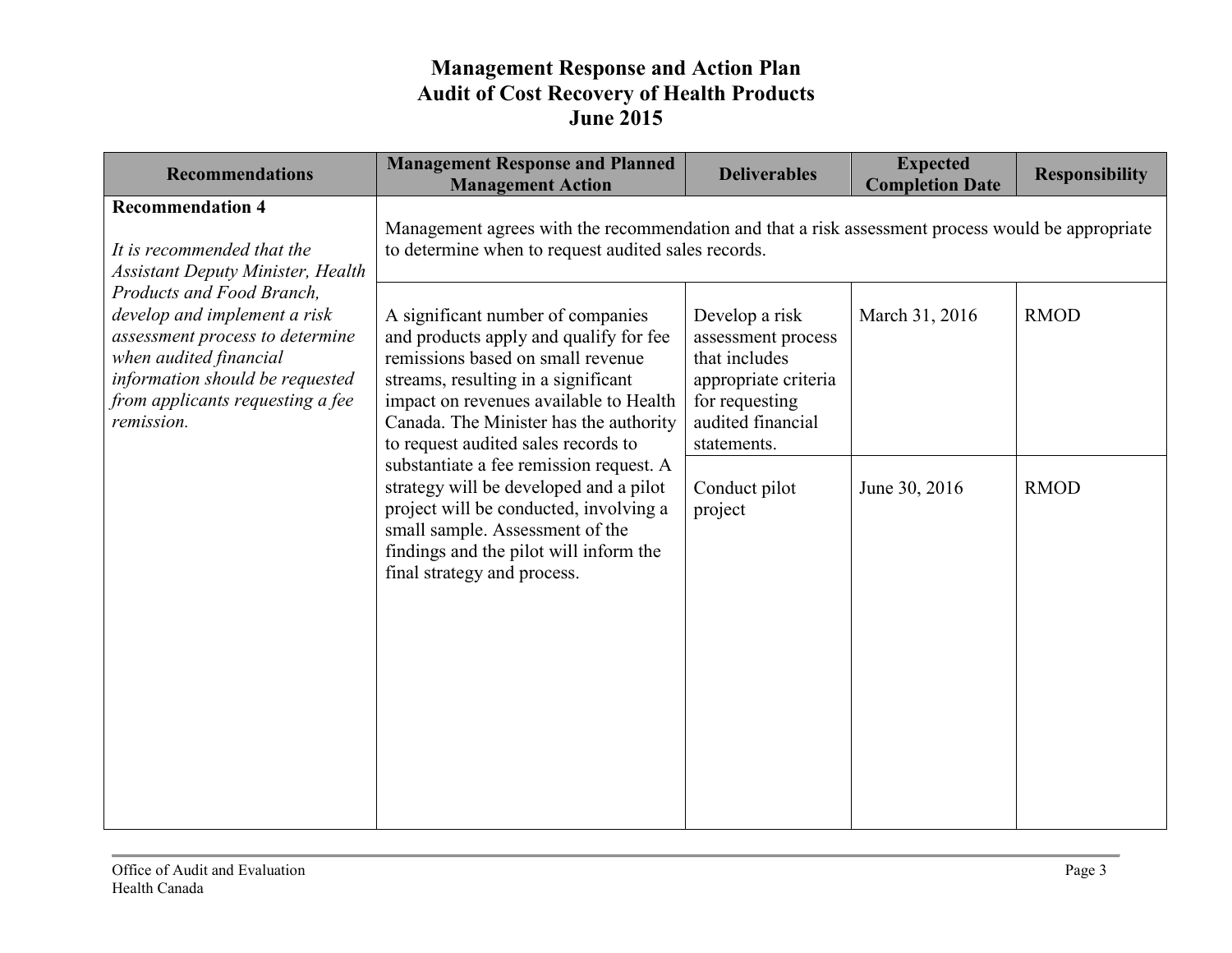| <b>Recommendations</b>                                                                                                                                                                                      | <b>Management Response and Planned</b><br><b>Management Action</b>                                                                                                                                                                                                                 | <b>Deliverables</b>                                                                                                                 | <b>Expected</b><br><b>Completion Date</b> | <b>Responsibility</b> |
|-------------------------------------------------------------------------------------------------------------------------------------------------------------------------------------------------------------|------------------------------------------------------------------------------------------------------------------------------------------------------------------------------------------------------------------------------------------------------------------------------------|-------------------------------------------------------------------------------------------------------------------------------------|-------------------------------------------|-----------------------|
| <b>Recommendation 4</b><br>It is recommended that the<br><b>Assistant Deputy Minister, Health</b>                                                                                                           | Management agrees with the recommendation and that a risk assessment process would be appropriate<br>to determine when to request audited sales records.                                                                                                                           |                                                                                                                                     |                                           |                       |
| Products and Food Branch,<br>develop and implement a risk<br>assessment process to determine<br>when audited financial<br>information should be requested<br>from applicants requesting a fee<br>remission. | A significant number of companies<br>and products apply and qualify for fee<br>remissions based on small revenue<br>streams, resulting in a significant<br>impact on revenues available to Health<br>Canada. The Minister has the authority<br>to request audited sales records to | Develop a risk<br>assessment process<br>that includes<br>appropriate criteria<br>for requesting<br>audited financial<br>statements. | March 31, 2016                            | <b>RMOD</b>           |
|                                                                                                                                                                                                             | substantiate a fee remission request. A<br>strategy will be developed and a pilot<br>project will be conducted, involving a<br>small sample. Assessment of the<br>findings and the pilot will inform the<br>final strategy and process.                                            | Conduct pilot<br>project                                                                                                            | June 30, 2016                             | <b>RMOD</b>           |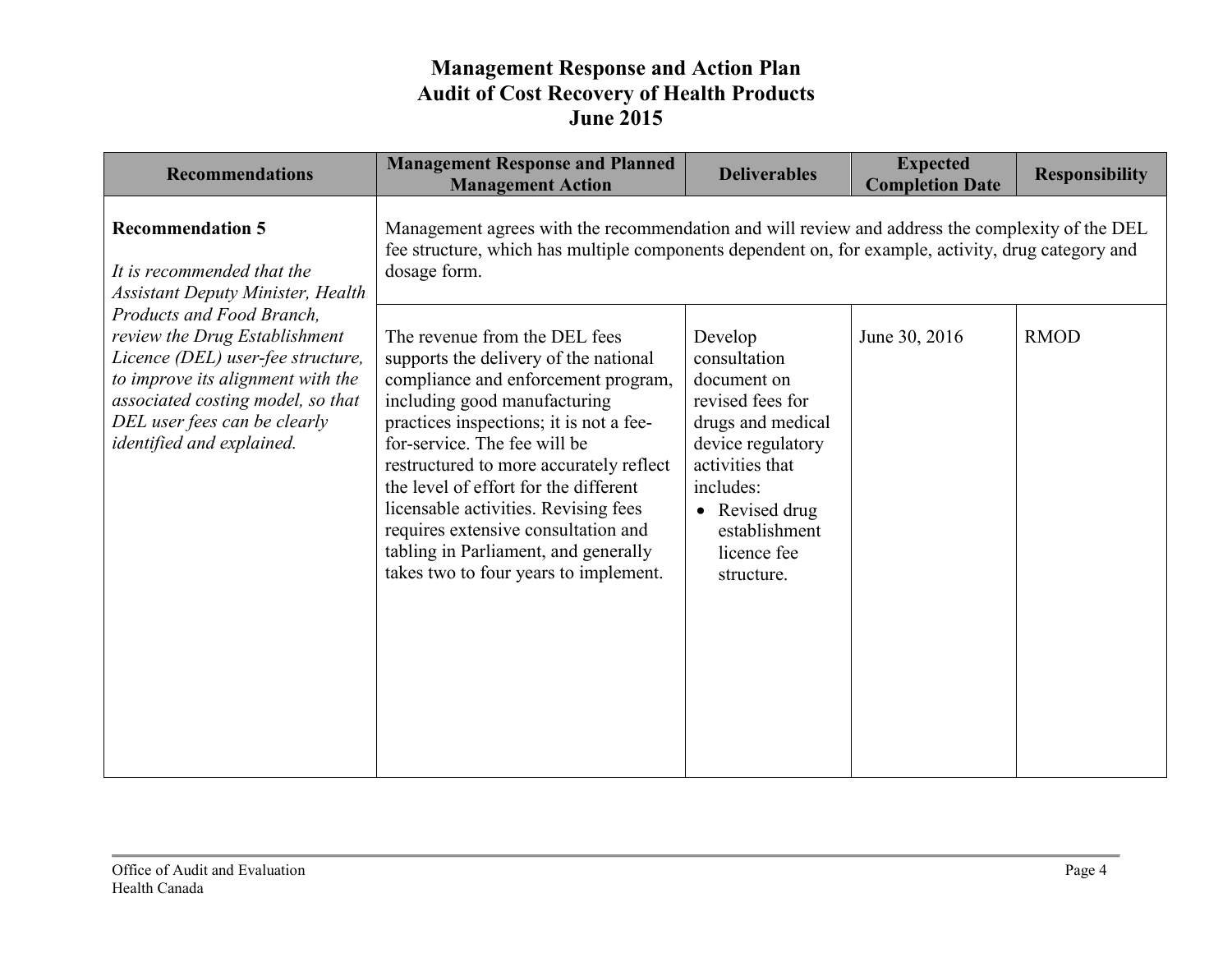| <b>Recommendations</b>                                                                                                                                                                                                                 | <b>Management Response and Planned</b><br><b>Management Action</b>                                                                                                                                                                                                                                                                                                                                                                                                           | <b>Deliverables</b>                                                                                                                                                                                  | <b>Expected</b><br><b>Completion Date</b> | <b>Responsibility</b> |
|----------------------------------------------------------------------------------------------------------------------------------------------------------------------------------------------------------------------------------------|------------------------------------------------------------------------------------------------------------------------------------------------------------------------------------------------------------------------------------------------------------------------------------------------------------------------------------------------------------------------------------------------------------------------------------------------------------------------------|------------------------------------------------------------------------------------------------------------------------------------------------------------------------------------------------------|-------------------------------------------|-----------------------|
| <b>Recommendation 5</b><br>It is recommended that the<br><b>Assistant Deputy Minister, Health</b>                                                                                                                                      | Management agrees with the recommendation and will review and address the complexity of the DEL<br>fee structure, which has multiple components dependent on, for example, activity, drug category and<br>dosage form.                                                                                                                                                                                                                                                       |                                                                                                                                                                                                      |                                           |                       |
| Products and Food Branch,<br>review the Drug Establishment<br>Licence (DEL) user-fee structure,<br>to improve its alignment with the<br>associated costing model, so that<br>DEL user fees can be clearly<br>identified and explained. | The revenue from the DEL fees<br>supports the delivery of the national<br>compliance and enforcement program,<br>including good manufacturing<br>practices inspections; it is not a fee-<br>for-service. The fee will be<br>restructured to more accurately reflect<br>the level of effort for the different<br>licensable activities. Revising fees<br>requires extensive consultation and<br>tabling in Parliament, and generally<br>takes two to four years to implement. | Develop<br>consultation<br>document on<br>revised fees for<br>drugs and medical<br>device regulatory<br>activities that<br>includes:<br>• Revised drug<br>establishment<br>licence fee<br>structure. | June 30, 2016                             | <b>RMOD</b>           |